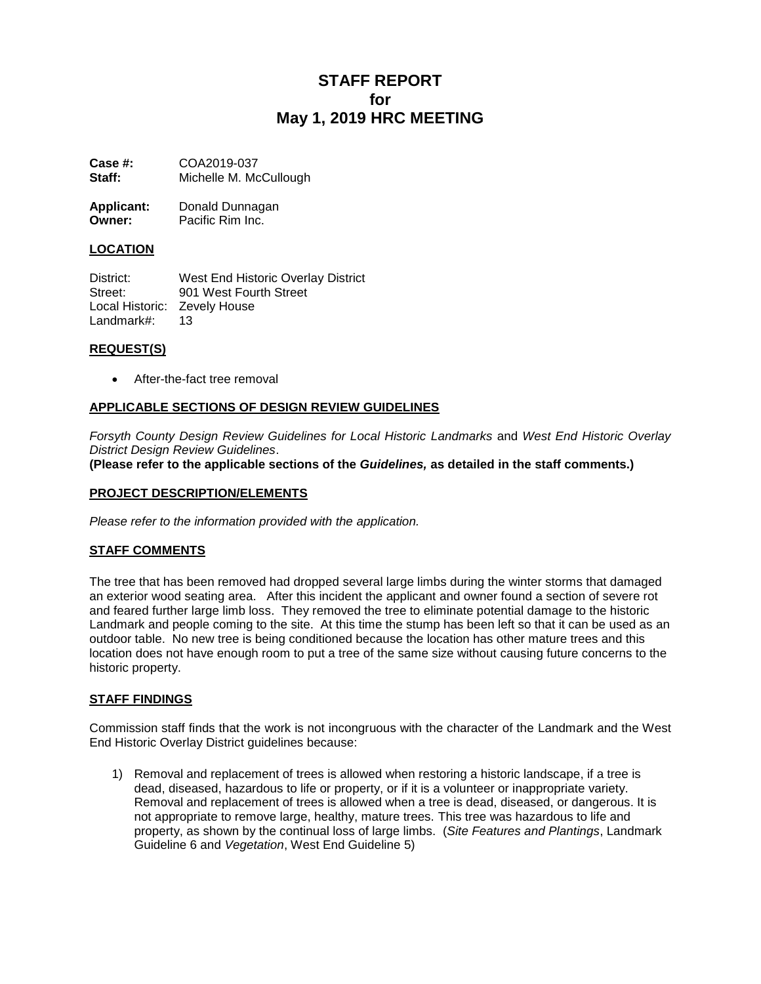# **STAFF REPORT for May 1, 2019 HRC MEETING**

**Case #:** COA2019-037 **Staff:** Michelle M. McCullough

| <b>Applicant:</b> | Donald Dunnagan  |
|-------------------|------------------|
| Owner:            | Pacific Rim Inc. |

## **LOCATION**

District: West End Historic Overlay District Street: 901 West Fourth Street Local Historic: Zevely House Landmark#: 13

## **REQUEST(S)**

After-the-fact tree removal

## **APPLICABLE SECTIONS OF DESIGN REVIEW GUIDELINES**

*Forsyth County Design Review Guidelines for Local Historic Landmarks* and *West End Historic Overlay District Design Review Guidelines*.

**(Please refer to the applicable sections of the** *Guidelines,* **as detailed in the staff comments.)**

#### **PROJECT DESCRIPTION/ELEMENTS**

*Please refer to the information provided with the application.*

## **STAFF COMMENTS**

The tree that has been removed had dropped several large limbs during the winter storms that damaged an exterior wood seating area. After this incident the applicant and owner found a section of severe rot and feared further large limb loss. They removed the tree to eliminate potential damage to the historic Landmark and people coming to the site. At this time the stump has been left so that it can be used as an outdoor table. No new tree is being conditioned because the location has other mature trees and this location does not have enough room to put a tree of the same size without causing future concerns to the historic property.

#### **STAFF FINDINGS**

Commission staff finds that the work is not incongruous with the character of the Landmark and the West End Historic Overlay District guidelines because:

1) Removal and replacement of trees is allowed when restoring a historic landscape, if a tree is dead, diseased, hazardous to life or property, or if it is a volunteer or inappropriate variety. Removal and replacement of trees is allowed when a tree is dead, diseased, or dangerous. It is not appropriate to remove large, healthy, mature trees. This tree was hazardous to life and property, as shown by the continual loss of large limbs. (*Site Features and Plantings*, Landmark Guideline 6 and *Vegetation*, West End Guideline 5)